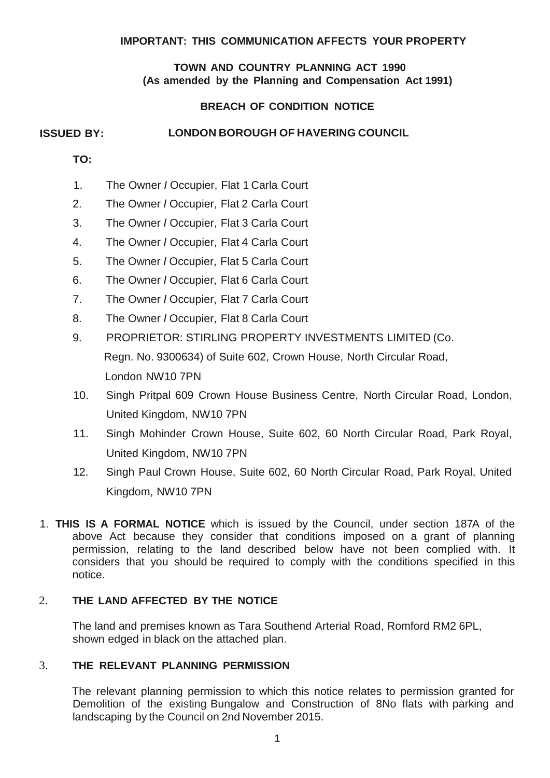#### **IMPORTANT: THIS COMMUNICATION AFFECTS YOUR PROPERTY**

#### **TOWN AND COUNTRY PLANNING ACT 1990 (As amended by the Planning and Compensation Act 1991)**

# **BREACH OF CONDITION NOTICE**

# **ISSUED BY: LONDON BOROUGH OF HAVERING COUNCIL**

- **TO:**
- 1. The Owner *I* Occupier, Flat 1 Carla Court
- 2. The Owner *I* Occupier, Flat 2 Carla Court
- 3. The Owner *I* Occupier, Flat 3 Carla Court
- 4. The Owner *I* Occupier, Flat 4 Carla Court
- 5. The Owner *I* Occupier, Flat 5 Carla Court
- 6. The Owner *I* Occupier, Flat 6 Carla Court
- 7. The Owner *I* Occupier, Flat 7 Carla Court
- 8. The Owner *I* Occupier, Flat 8 Carla Court
- 9. PROPRIETOR: STIRLING PROPERTY INVESTMENTS LIMITED (Co. Regn. No. 9300634) of Suite 602, Crown House, North Circular Road, London NW10 7PN
- 10. Singh Pritpal 609 Crown House Business Centre, North Circular Road, London, United Kingdom, NW10 7PN
- 11. Singh Mohinder Crown House, Suite 602, 60 North Circular Road, Park Royal, United Kingdom, NW10 7PN
- 12. Singh Paul Crown House, Suite 602, 60 North Circular Road, Park Royal, United Kingdom, NW10 7PN
- 1. **THIS IS A FORMAL NOTICE** which is issued by the Council, under section 187A of the above Act because they consider that conditions imposed on a grant of planning permission, relating to the land described below have not been complied with. It considers that you should be required to comply with the conditions specified in this notice.

#### 2. **THE LAND AFFECTED BY THE NOTICE**

The land and premises known as Tara Southend Arterial Road, Romford RM2 6PL, shown edged in black on the attached plan.

# 3. **THE RELEVANT PLANNING PERMISSION**

The relevant planning permission to which this notice relates to permission granted for Demolition of the existing Bungalow and Construction of 8No flats with parking and landscaping by the Council on 2nd November 2015.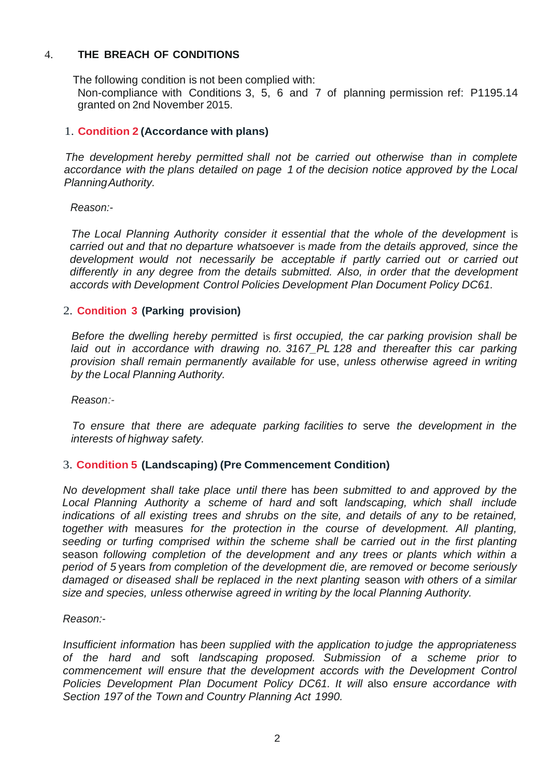# 4. **THE BREACH OF CONDITIONS**

The following condition is not been complied with:

Non-compliance with Conditions 3, 5, 6 and 7 of planning permission ref: P1195.14 granted on 2nd November 2015.

# 1. **Condition 2 (Accordance with plans)**

*The development hereby permitted shall not be carried out otherwise than in complete accordance with the plans detailed on page 1 of the decision notice approved by the Local PlanningAuthority.*

*Reason:-*

*The Local Planning Authority consider it essential that the whole of the development* is *carried out and that no departure whatsoever* is *made from the details approved, since the development would not necessarily be acceptable if partly carried out or carried out differently in any degree from the details submitted. Also, in order that the development accords with Development Control Policies Development Plan Document Policy DC61.*

# 2. **Condition 3 (Parking provision)**

*Before the dwelling hereby permitted* is *first occupied, the car parking provision shall be laid out in accordance with drawing no. 3167\_PL 128 and thereafter this car parking provision shall remain permanently available for* use, *unless otherwise agreed in writing by the Local Planning Authority.*

*Reason:-*

*To ensure that there are adequate parking facilities to* serve *the development in the interests of highway safety.*

# 3. **Condition 5 (Landscaping) (Pre Commencement Condition)**

*No development shall take place until there* has *been submitted to and approved by the Local Planning Authority a scheme of hard and* soft *landscaping, which shall include indications of all existing trees and shrubs on the site, and details of any to be retained, together with* measures *for the protection in the course of development. All planting, seeding or turfing comprised within the scheme shall be carried out in the first planting* season *following completion of the development and any trees or plants which within a period of 5* years *from completion of the development die, are removed or become seriously damaged or diseased shall be replaced in the next planting* season *with others of a similar size and species, unless otherwise agreed in writing by the local Planning Authority.*

*Reason:-*

*Insufficient information* has *been supplied with the application to judge the appropriateness of the hard and* soft *landscaping proposed. Submission of a scheme prior to commencement will ensure that the development accords with the Development Control Policies Development Plan Document Policy DC61. It will* also *ensure accordance with Section 197 of the Town and Country Planning Act 1990.*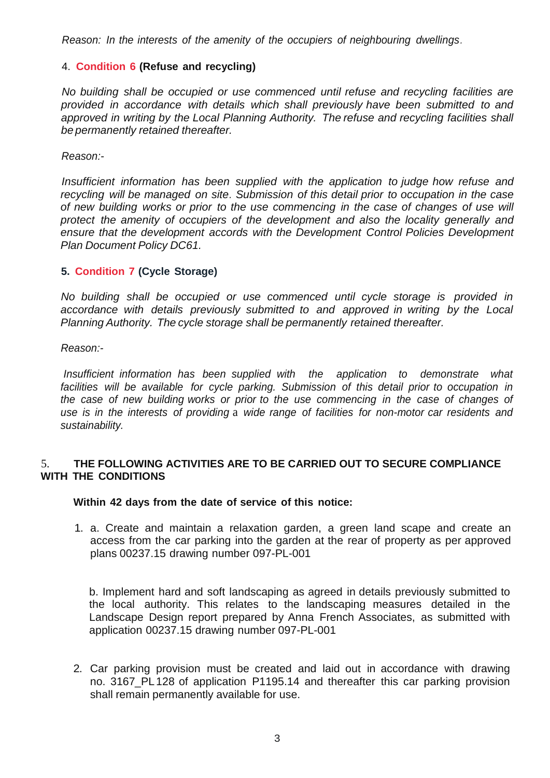*Reason: In the interests of the amenity of the occupiers of neighbouring dwellings.*

#### 4. **Condition 6 (Refuse and recycling)**

*No building shall be occupied or use commenced until refuse and recycling facilities are provided in accordance with details which shall previously have been submitted to and approved in writing by the Local Planning Authority. The refuse and recycling facilities shall be permanently retained thereafter.*

*Reason:-*

*Insufficient information has been supplied with the application to judge how refuse and recycling will be managed on site. Submission of this detail prior to occupation in the case of new building works or prior to the use commencing in the case of changes of use will protect the amenity of occupiers of the development and also the locality generally and ensure that the development accords with the Development Control Policies Development Plan Document Policy DC61.*

#### **5. Condition 7 (Cycle Storage)**

*No building shall be occupied or use commenced until cycle storage is provided in accordance with details previously submitted to and approved in writing by the Local Planning Authority. The cycle storage shall be permanently retained thereafter.*

*Reason:-*

*Insufficient information has been supplied with the application to demonstrate what facilities will be available for cycle parking. Submission of this detail prior to occupation in the case of new building works or prior to the use commencing in the case of changes of use is in the interests of providing* a *wide range of facilities for non-motor car residents and sustainability.*

#### 5. **THE FOLLOWING ACTIVITIES ARE TO BE CARRIED OUT TO SECURE COMPLIANCE WITH THE CONDITIONS**

**Within 42 days from the date of service of this notice:**

1. a. Create and maintain a relaxation garden, a green land scape and create an access from the car parking into the garden at the rear of property as per approved plans 00237.15 drawing number 097-PL-001

b. Implement hard and soft landscaping as agreed in details previously submitted to the local authority. This relates to the landscaping measures detailed in the Landscape Design report prepared by Anna French Associates, as submitted with application 00237.15 drawing number 097-PL-001

2. Car parking provision must be created and laid out in accordance with drawing no. 3167\_PL128 of application P1195.14 and thereafter this car parking provision shall remain permanently available for use.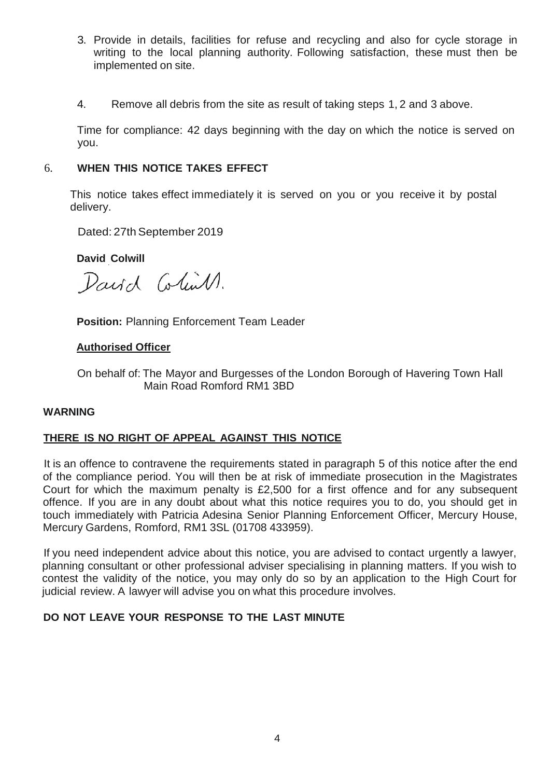- 3. Provide in details, facilities for refuse and recycling and also for cycle storage in writing to the local planning authority. Following satisfaction, these must then be implemented on site.
- 4. Remove all debris from the site as result of taking steps 1, 2 and 3 above.

Time for compliance: 42 days beginning with the day on which the notice is served on you.

### 6. **WHEN THIS NOTICE TAKES EFFECT**

This notice takes effect immediately it is served on you or you receive it by postal delivery.

Dated: 27th September 2019

**David Colwill**

David Colin 1.

**Position:** Planning Enforcement Team Leader

#### **Authorised Officer**

On behalf of: The Mayor and Burgesses of the London Borough of Havering Town Hall Main Road Romford RM1 3BD

#### **WARNING**

# **THERE IS NO RIGHT OF APPEAL AGAINST THIS NOTICE**

It is an offence to contravene the requirements stated in paragraph 5 of this notice after the end of the compliance period. You will then be at risk of immediate prosecution in the Magistrates Court for which the maximum penalty is £2,500 for a first offence and for any subsequent offence. If you are in any doubt about what this notice requires you to do, you should get in touch immediately with Patricia Adesina Senior Planning Enforcement Officer, Mercury House, Mercury Gardens, Romford, RM1 3SL (01708 433959).

If you need independent advice about this notice, you are advised to contact urgently a lawyer, planning consultant or other professional adviser specialising in planning matters. If you wish to contest the validity of the notice, you may only do so by an application to the High Court for judicial review. A lawyer will advise you on what this procedure involves.

# **DO NOT LEAVE YOUR RESPONSE TO THE LAST MINUTE**